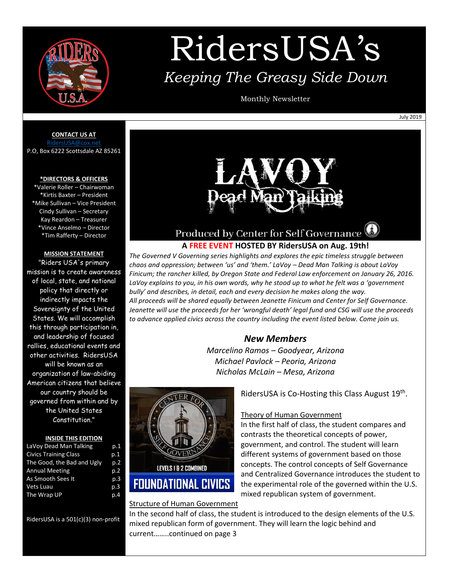

# RidersUSA's *Keeping The Greasy Side Down*

Monthly Newsletter

July 2019

**CONTACT US AT**

[RidersUSA@cox.net](mailto:RidersUSA@cox.net) P.O, Box 6222 Scottsdale AZ 85261

### **\*DIRECTORS & OFFICERS**

\*Valerie Roller – Chairwoman \*Kirtis Baxter – President \*Mike Sullivan – Vice President Cindy Sullivan – Secretary Kay Reardon – Treasurer \*Vince Anselmo – Director \*Tim Rafferty – Director

#### **MISSION STATEMENT**

"Riders USA's primary mission is to create awareness of local, state, and national policy that directly or indirectly impacts the Sovereignty of the United States. We will accomplish this through participation in, and leadership of focused rallies, educational events and other activities. RidersUSA will be known as an organization of law-abiding American citizens that believe our country should be governed from within and by the United States Constitution."

#### **INSIDE THIS EDITION**

| p.1 |
|-----|
| p.1 |
| p.2 |
| D.2 |
| p.3 |
| p.3 |
| p.4 |
|     |

RidersUSA is a 501(c)(3) non-profit



### Produced by Center for Self Governance

### **A FREE EVENT HOSTED BY RidersUSA on Aug. 19th!**

*The Governed V Governing series highlights and explores the epic timeless struggle between chaos and oppression; between 'us' and 'them.' LaVoy – Dead Man Talking is about LaVoy Finicum; the rancher killed, by Oregon State and Federal Law enforcement on January 26, 2016. LaVoy explains to you, in his own words, why he stood up to what he felt was a 'government bully' and describes, in detail, each and every decision he makes along the way. All proceeds will be shared equally between Jeanette Finicum and Center for Self Governance. Jeanette will use the proceeds for her 'wrongful death' legal fund and CSG will use the proceeds to advance applied civics across the country including the event listed below. Come join us.*

### *New Members*

*Marcelino Ramos – Goodyear, Arizona Michael Pavlock – Peoria, Arizona Nicholas McLain – Mesa, Arizona*



### Structure of Human Government

In the second half of class, the student is introduced to the design elements of the U.S. mixed republican form of government. They will learn the logic behind and current……..continued on page 3

RidersUSA is Co-Hosting this Class August 19<sup>th</sup>.

### Theory of Human Government

In the first half of class, the student compares and contrasts the theoretical concepts of power, government, and control. The student will learn different systems of government based on those concepts. The control concepts of Self Governance and Centralized Governance introduces the student to the experimental role of the governed within the U.S. mixed republican system of government.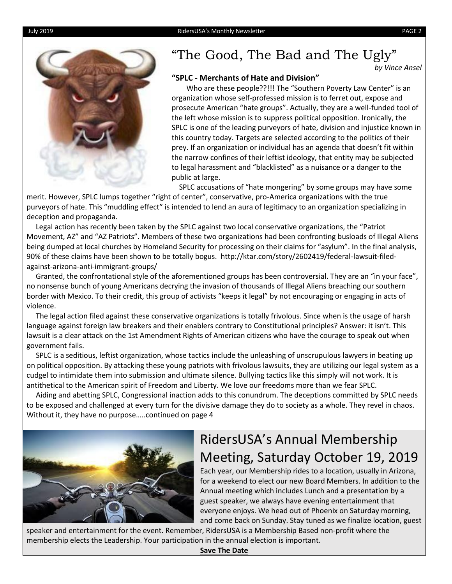



### "The Good, The Bad and The Ugly"

*by Vince Ansel*

### **"SPLC - Merchants of Hate and Division"**

 Who are these people??!!! The "Southern Poverty Law Center" is an organization whose self-professed mission is to ferret out, expose and prosecute American "hate groups". Actually, they are a well-funded tool of the left whose mission is to suppress political opposition. Ironically, the SPLC is one of the leading purveyors of hate, division and injustice known in this country today. Targets are selected according to the politics of their prey. If an organization or individual has an agenda that doesn't fit within the narrow confines of their leftist ideology, that entity may be subjected to legal harassment and "blacklisted" as a nuisance or a danger to the public at large.

SPLC accusations of "hate mongering" by some groups may have some

merit. However, SPLC lumps together "right of center", conservative, pro-America organizations with the true purveyors of hate. This "muddling effect" is intended to lend an aura of legitimacy to an organization specializing in deception and propaganda.

 Legal action has recently been taken by the SPLC against two local conservative organizations, the "Patriot Movement, AZ" and "AZ Patriots". Members of these two organizations had been confronting busloads of Illegal Aliens being dumped at local churches by Homeland Security for processing on their claims for "asylum". In the final analysis, 90% of these claims have been shown to be totally bogus. http://ktar.com/story/2602419/federal-lawsuit-filedagainst-arizona-anti-immigrant-groups/

 Granted, the confrontational style of the aforementioned groups has been controversial. They are an "in your face", no nonsense bunch of young Americans decrying the invasion of thousands of Illegal Aliens breaching our southern border with Mexico. To their credit, this group of activists "keeps it legal" by not encouraging or engaging in acts of violence.

 The legal action filed against these conservative organizations is totally frivolous. Since when is the usage of harsh language against foreign law breakers and their enablers contrary to Constitutional principles? Answer: it isn't. This lawsuit is a clear attack on the 1st Amendment Rights of American citizens who have the courage to speak out when government fails.

 SPLC is a seditious, leftist organization, whose tactics include the unleashing of unscrupulous lawyers in beating up on political opposition. By attacking these young patriots with frivolous lawsuits, they are utilizing our legal system as a cudgel to intimidate them into submission and ultimate silence. Bullying tactics like this simply will not work. It is antithetical to the American spirit of Freedom and Liberty. We love our freedoms more than we fear SPLC.

 Aiding and abetting SPLC, Congressional inaction adds to this conundrum. The deceptions committed by SPLC needs to be exposed and challenged at every turn for the divisive damage they do to society as a whole. They revel in chaos. Without it, they have no purpose…..continued on page 4



## RidersUSA's Annual Membership Meeting, Saturday October 19, 2019

Each year, our Membership rides to a location, usually in Arizona, for a weekend to elect our new Board Members. In addition to the Annual meeting which includes Lunch and a presentation by a guest speaker, we always have evening entertainment that everyone enjoys. We head out of Phoenix on Saturday morning, and come back on Sunday. Stay tuned as we finalize location, guest

speaker and entertainment for the event. Remember, RidersUSA is a Membership Based non-profit where the membership elects the Leadership. Your participation in the annual election is important.

**Save The Date**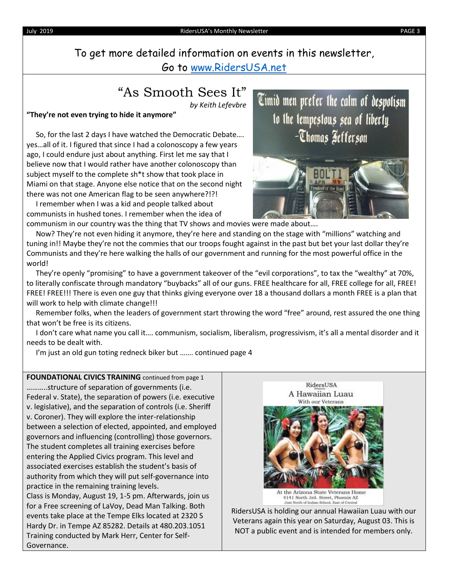To get more detailed information on events in this newsletter, Go to [www.RidersUSA.net](http://www.ridersusa.net/)

### "As Smooth Sees It"

*by Keith Lefevbre*

### **"They're not even trying to hide it anymore"**

 So, for the last 2 days I have watched the Democratic Debate…. yes…all of it. I figured that since I had a colonoscopy a few years ago, I could endure just about anything. First let me say that I believe now that I would rather have another colonoscopy than subject myself to the complete sh\*t show that took place in Miami on that stage. Anyone else notice that on the second night there was not one American flag to be seen anywhere?!?!

 I remember when I was a kid and people talked about communists in hushed tones. I remember when the idea of communism in our country was the thing that TV shows and movies were made about….

Timid men prefer the calm of despotism to the tempestous sea of liberty. -Thomas Sefferson



 Now? They're not even hiding it anymore, they're here and standing on the stage with "millions" watching and tuning in!! Maybe they're not the commies that our troops fought against in the past but bet your last dollar they're Communists and they're here walking the halls of our government and running for the most powerful office in the world!

 They're openly "promising" to have a government takeover of the "evil corporations", to tax the "wealthy" at 70%, to literally confiscate through mandatory "buybacks" all of our guns. FREE healthcare for all, FREE college for all, FREE! FREE! FREE!!! There is even one guy that thinks giving everyone over 18 a thousand dollars a month FREE is a plan that will work to help with climate change!!!

 Remember folks, when the leaders of government start throwing the word "free" around, rest assured the one thing that won't be free is its citizens.

 I don't care what name you call it…. communism, socialism, liberalism, progressivism, it's all a mental disorder and it needs to be dealt with.

I'm just an old gun toting redneck biker but ……. continued page 4

**FOUNDATIONAL CIVICS TRAINING** continued from page 1 ………..structure of separation of governments (i.e. Federal v. State), the separation of powers (i.e. executive v. legislative), and the separation of controls (i.e. Sheriff v. Coroner). They will explore the inter-relationship between a selection of elected, appointed, and employed governors and influencing (controlling) those governors. The student completes all training exercises before entering the Applied Civics program. This level and associated exercises establish the student's basis of authority from which they will put self-governance into practice in the remaining training levels. Class is Monday, August 19, 1-5 pm. Afterwards, join us for a Free screening of LaVoy, Dead Man Talking. Both events take place at the Tempe Elks located at 2320 S Hardy Dr. in Tempe AZ 85282. Details at 480.203.1051 Training conducted by Mark Herr, Center for Self-Governance.



RidersUSA is holding our annual Hawaiian Luau with our Veterans again this year on Saturday, August 03. This is NOT a public event and is intended for members only.